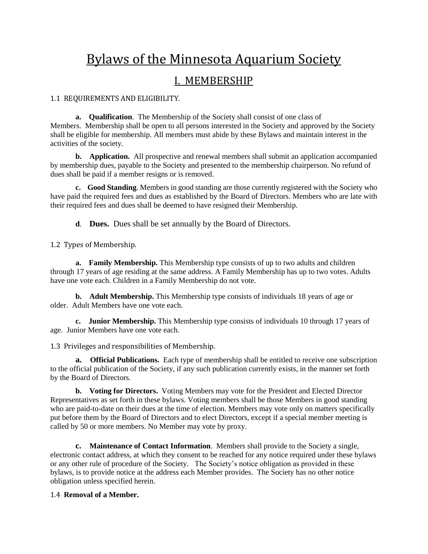# Bylaws of the Minnesota Aquarium Society

### I. MEMBERSHIP

1.1 REQUIREMENTS AND ELIGIBILITY.

**a. Qualification**. The Membership of the Society shall consist of one class of Members. Membership shall be open to all persons interested in the Society and approved by the Society shall be eligible for membership. All members must abide by these Bylaws and maintain interest in the activities of the society.

**b.** Application. All prospective and renewal members shall submit an application accompanied by membership dues, payable to the Society and presented to the membership chairperson. No refund of dues shall be paid if a member resigns or is removed.

**c. Good Standing**. Members in good standing are those currently registered with the Society who have paid the required fees and dues as established by the Board of Directors. Members who are late with their required fees and dues shall be deemed to have resigned their Membership.

**d**. **Dues.** Dues shall be set annually by the Board of Directors.

1.2 Types of Membership.

**a. Family Membership.** This Membership type consists of up to two adults and children through 17 years of age residing at the same address. A Family Membership has up to two votes. Adults have one vote each. Children in a Family Membership do not vote.

**b. Adult Membership.** This Membership type consists of individuals 18 years of age or older. Adult Members have one vote each.

**c. Junior Membership.** This Membership type consists of individuals 10 through 17 years of age. Junior Members have one vote each.

1.3 Privileges and responsibilities of Membership.

**a. Official Publications.** Each type of membership shall be entitled to receive one subscription to the official publication of the Society, if any such publication currently exists, in the manner set forth by the Board of Directors.

**b. Voting for Directors.** Voting Members may vote for the President and Elected Director Representatives as set forth in these bylaws. Voting members shall be those Members in good standing who are paid-to-date on their dues at the time of election. Members may vote only on matters specifically put before them by the Board of Directors and to elect Directors, except if a special member meeting is called by 50 or more members. No Member may vote by proxy.

**c. Maintenance of Contact Information**. Members shall provide to the Society a single, electronic contact address, at which they consent to be reached for any notice required under these bylaws or any other rule of procedure of the Society. The Society's notice obligation as provided in these bylaws, is to provide notice at the address each Member provides. The Society has no other notice obligation unless specified herein.

### 1.4 **Removal of a Member.**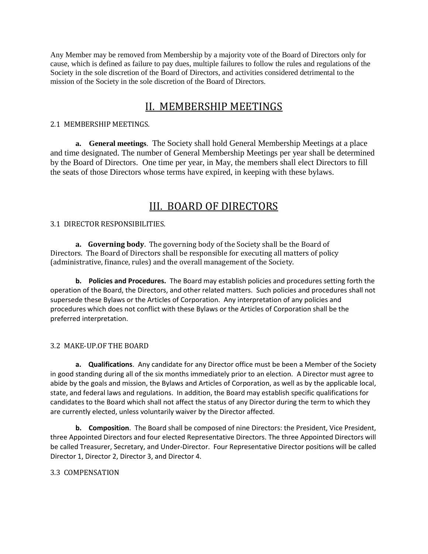Any Member may be removed from Membership by a majority vote of the Board of Directors only for cause, which is defined as failure to pay dues, multiple failures to follow the rules and regulations of the Society in the sole discretion of the Board of Directors, and activities considered detrimental to the mission of the Society in the sole discretion of the Board of Directors.

# II. MEMBERSHIP MEETINGS

#### 2.1 MEMBERSHIP MEETINGS.

**a. General meetings**. The Society shall hold General Membership Meetings at a place and time designated. The number of General Membership Meetings per year shall be determined by the Board of Directors. One time per year, in May, the members shall elect Directors to fill the seats of those Directors whose terms have expired, in keeping with these bylaws.

## III. BOARD OF DIRECTORS

### 3.1 DIRECTOR RESPONSIBILITIES.

**a. Governing body**. The governing body of the Society shall be the Board of Directors. The Board of Directors shall be responsible for executing all matters of policy (administrative, finance, rules) and the overall management of the Society.

**b. Policies and Procedures.** The Board may establish policies and procedures setting forth the operation of the Board, the Directors, and other related matters. Such policies and procedures shall not supersede these Bylaws or the Articles of Corporation. Any interpretation of any policies and procedures which does not conflict with these Bylaws or the Articles of Corporation shall be the preferred interpretation.

### 3.2 MAKE-UP.OF THE BOARD

**a. Qualifications**. Any candidate for any Director office must be been a Member of the Society in good standing during all of the six months immediately prior to an election. A Director must agree to abide by the goals and mission, the Bylaws and Articles of Corporation, as well as by the applicable local, state, and federal laws and regulations. In addition, the Board may establish specific qualifications for candidates to the Board which shall not affect the status of any Director during the term to which they are currently elected, unless voluntarily waiver by the Director affected.

**b. Composition**. The Board shall be composed of nine Directors: the President, Vice President, three Appointed Directors and four elected Representative Directors. The three Appointed Directors will be called Treasurer, Secretary, and Under-Director. Four Representative Director positions will be called Director 1, Director 2, Director 3, and Director 4.

### 3.3 COMPENSATION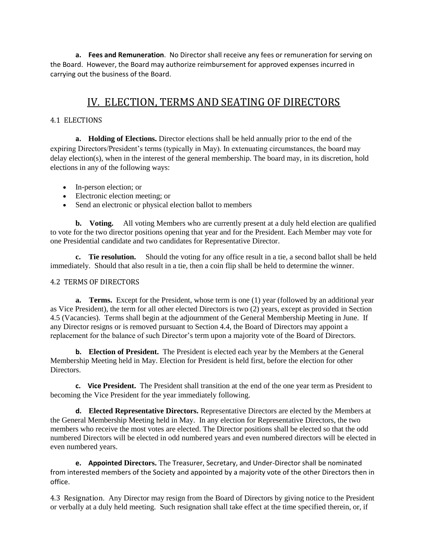**a. Fees and Remuneration**. No Director shall receive any fees or remuneration for serving on the Board. However, the Board may authorize reimbursement for approved expenses incurred in carrying out the business of the Board.

## IV. ELECTION, TERMS AND SEATING OF DIRECTORS

### 4.1 ELECTIONS

**a. Holding of Elections.** Director elections shall be held annually prior to the end of the expiring Directors/President's terms (typically in May). In extenuating circumstances, the board may delay election(s), when in the interest of the general membership. The board may, in its discretion, hold elections in any of the following ways:

- In-person election; or
- Electronic election meeting; or
- Send an electronic or physical election ballot to members

**b.** Voting. All voting Members who are currently present at a duly held election are qualified to vote for the two director positions opening that year and for the President. Each Member may vote for one Presidential candidate and two candidates for Representative Director.

**c. Tie resolution.** Should the voting for any office result in a tie, a second ballot shall be held immediately. Should that also result in a tie, then a coin flip shall be held to determine the winner.

#### 4.2 TERMS OF DIRECTORS

**a. Terms.** Except for the President, whose term is one (1) year (followed by an additional year as Vice President), the term for all other elected Directors is two (2) years, except as provided in Section 4.5 (Vacancies). Terms shall begin at the adjournment of the General Membership Meeting in June. If any Director resigns or is removed pursuant to Section 4.4, the Board of Directors may appoint a replacement for the balance of such Director's term upon a majority vote of the Board of Directors.

**b. Election of President.** The President is elected each year by the Members at the General Membership Meeting held in May. Election for President is held first, before the election for other Directors.

**c. Vice President.** The President shall transition at the end of the one year term as President to becoming the Vice President for the year immediately following.

**d. Elected Representative Directors.** Representative Directors are elected by the Members at the General Membership Meeting held in May. In any election for Representative Directors, the two members who receive the most votes are elected. The Director positions shall be elected so that the odd numbered Directors will be elected in odd numbered years and even numbered directors will be elected in even numbered years.

**e. Appointed Directors.** The Treasurer, Secretary, and Under-Director shall be nominated from interested members of the Society and appointed by a majority vote of the other Directors then in office.

4.3 Resignation. Any Director may resign from the Board of Directors by giving notice to the President or verbally at a duly held meeting. Such resignation shall take effect at the time specified therein, or, if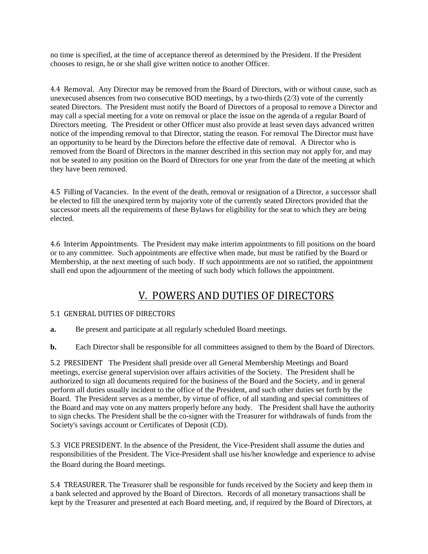no time is specified, at the time of acceptance thereof as determined by the President. If the President chooses to resign, he or she shall give written notice to another Officer.

4.4 Removal. Any Director may be removed from the Board of Directors, with or without cause, such as unexecused absences from two consecutive BOD meetings, by a two-thirds (2/3) vote of the currently seated Directors. The President must notify the Board of Directors of a proposal to remove a Director and may call a special meeting for a vote on removal or place the issue on the agenda of a regular Board of Directors meeting. The President or other Officer must also provide at least seven days advanced written notice of the impending removal to that Director, stating the reason. For removal The Director must have an opportunity to be heard by the Directors before the effective date of removal. A Director who is removed from the Board of Directors in the manner described in this section may not apply for, and may not be seated to any position on the Board of Directors for one year from the date of the meeting at which they have been removed.

4.5 Filling of Vacancies. In the event of the death, removal or resignation of a Director, a successor shall be elected to fill the unexpired term by majority vote of the currently seated Directors provided that the successor meets all the requirements of these Bylaws for eligibility for the seat to which they are being elected.

4.6 Interim Appointments. The President may make interim appointments to fill positions on the board or to any committee. Such appointments are effective when made, but must be ratified by the Board or Membership, at the next meeting of such body. If such appointments are not so ratified, the appointment shall end upon the adjournment of the meeting of such body which follows the appointment.

# V. POWERS AND DUTIES OF DIRECTORS

### 5.1 GENERAL DUTIES OF DIRECTORS

- **a.** Be present and participate at all regularly scheduled Board meetings.
- **b.** Each Director shall be responsible for all committees assigned to them by the Board of Directors.

5.2 PRESIDENT The President shall preside over all General Membership Meetings and Board meetings, exercise general supervision over affairs activities of the Society. The President shall be authorized to sign all documents required for the business of the Board and the Society, and in general perform all duties usually incident to the office of the President, and such other duties set forth by the Board. The President serves as a member, by virtue of office, of all standing and special committees of the Board and may vote on any matters properly before any body. The President shall have the authority to sign checks. The President shall be the co-signer with the Treasurer for withdrawals of funds from the Society's savings account or Certificates of Deposit (CD).

5.3 VICE PRESIDENT. In the absence of the President, the Vice-President shall assume the duties and responsibilities of the President. The Vice-President shall use his/her knowledge and experience to advise the Board during the Board meetings.

5.4 TREASURER. The Treasurer shall be responsible for funds received by the Society and keep them in a bank selected and approved by the Board of Directors. Records of all monetary transactions shall be kept by the Treasurer and presented at each Board meeting, and, if required by the Board of Directors, at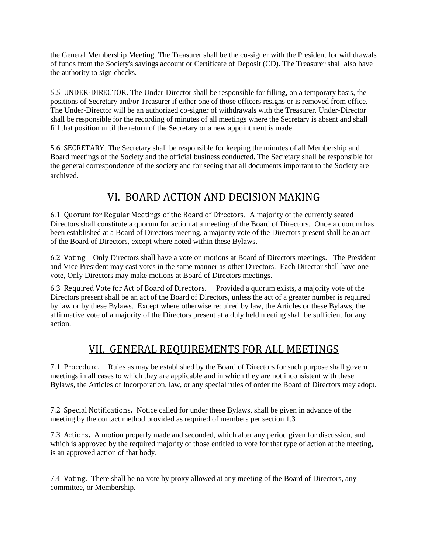the General Membership Meeting. The Treasurer shall be the co-signer with the President for withdrawals of funds from the Society's savings account or Certificate of Deposit (CD). The Treasurer shall also have the authority to sign checks.

5.5 UNDER-DIRECTOR. The Under-Director shall be responsible for filling, on a temporary basis, the positions of Secretary and/or Treasurer if either one of those officers resigns or is removed from office. The Under-Director will be an authorized co-signer of withdrawals with the Treasurer. Under-Director shall be responsible for the recording of minutes of all meetings where the Secretary is absent and shall fill that position until the return of the Secretary or a new appointment is made.

5.6 SECRETARY. The Secretary shall be responsible for keeping the minutes of all Membership and Board meetings of the Society and the official business conducted. The Secretary shall be responsible for the general correspondence of the society and for seeing that all documents important to the Society are archived.

# VI. BOARD ACTION AND DECISION MAKING

6.1 Quorum for Regular Meetings of the Board of Directors. A majority of the currently seated Directors shall constitute a quorum for action at a meeting of the Board of Directors. Once a quorum has been established at a Board of Directors meeting, a majority vote of the Directors present shall be an act of the Board of Directors, except where noted within these Bylaws.

6.2 VotingOnly Directors shall have a vote on motions at Board of Directors meetings. The President and Vice President may cast votes in the same manner as other Directors. Each Director shall have one vote, Only Directors may make motions at Board of Directors meetings.

6.3 Required Vote for Act of Board of Directors.Provided a quorum exists, a majority vote of the Directors present shall be an act of the Board of Directors, unless the act of a greater number is required by law or by these Bylaws. Except where otherwise required by law, the Articles or these Bylaws, the affirmative vote of a majority of the Directors present at a duly held meeting shall be sufficient for any action.

# VII. GENERAL REQUIREMENTS FOR ALL MEETINGS

7.1 Procedure. Rules as may be established by the Board of Directors for such purpose shall govern meetings in all cases to which they are applicable and in which they are not inconsistent with these Bylaws, the Articles of Incorporation, law, or any special rules of order the Board of Directors may adopt.

7.2 Special Notifications**.** Notice called for under these Bylaws, shall be given in advance of the meeting by the contact method provided as required of members per section 1.3

7.3 Actions**.** A motion properly made and seconded, which after any period given for discussion, and which is approved by the required majority of those entitled to vote for that type of action at the meeting, is an approved action of that body.

7.4 Voting. There shall be no vote by proxy allowed at any meeting of the Board of Directors, any committee, or Membership.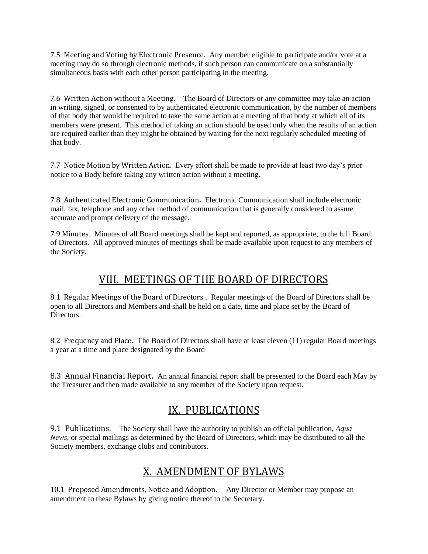7.5 Meeting and Voting by Electronic Presence. Any member eligible to participate and/or vote at a meeting may do so through electronic methods, if such person can communicate on a substantially simultaneous basis with each other person participating in the meeting.

7.6 Written Action without a Meeting**.** The Board of Directors or any committee may take an action in writing, signed, or consented to by authenticated electronic communication, by the number of members of that body that would be required to take the same action at a meeting of that body at which all of its members were present. This method of taking an action should be used only when the results of an action are required earlier than they might be obtained by waiting for the next regularly scheduled meeting of that body.

7.7 Notice Motion by Written Action. Every effort shall be made to provide at least two day's prior notice to a Body before taking any written action without a meeting.

7.8 Authenticated Electronic Communication**.** Electronic Communication shall include electronic mail, fax, telephone and any other method of communication that is generally considered to assure accurate and prompt delivery of the message.

7.9 Minutes. Minutes of all Board meetings shall be kept and reported, as appropriate, to the full Board of Directors. All approved minutes of meetings shall be made available upon request to any members of the Society.

### VIII. MEETINGS OF THE BOARD OF DIRECTORS

8.1 Regular Meetings of the Board of Directors . Regular meetings of the Board of Directors shall be open to all Directors and Members and shall be held on a date, time and place set by the Board of **Directors** 

8.2 Frequency and Place**.** The Board of Directors shall have at least eleven (11) regular Board meetings a year at a time and place designated by the Board

8.3 Annual Financial Report**.** An annual financial report shall be presented to the Board each May by the Treasurer and then made available to any member of the Society upon request.

# IX. PUBLICATIONS

9.1 Publications. The Society shall have the authority to publish an official publication, *Aqua News*, or special mailings as determined by the Board of Directors, which may be distributed to all the Society members, exchange clubs and contributors.

### X. AMENDMENT OF BYLAWS

10.1 Proposed Amendments, Notice and Adoption. Any Director or Member may propose an amendment to these Bylaws by giving notice thereof to the Secretary.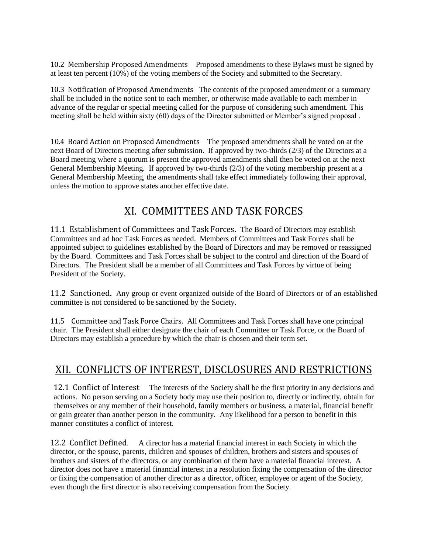10.2 Membership Proposed Amendments Proposed amendments to these Bylaws must be signed by at least ten percent (10%) of the voting members of the Society and submitted to the Secretary.

10.3 Notification of Proposed Amendments The contents of the proposed amendment or a summary shall be included in the notice sent to each member, or otherwise made available to each member in advance of the regular or special meeting called for the purpose of considering such amendment. This meeting shall be held within sixty (60) days of the Director submitted or Member's signed proposal .

10.4 Board Action on Proposed Amendments The proposed amendments shall be voted on at the next Board of Directors meeting after submission. If approved by two-thirds (2/3) of the Directors at a Board meeting where a quorum is present the approved amendments shall then be voted on at the next General Membership Meeting. If approved by two-thirds (2/3) of the voting membership present at a General Membership Meeting, the amendments shall take effect immediately following their approval, unless the motion to approve states another effective date.

### XI. COMMITTEES AND TASK FORCES

11.1 Establishment of Committees and Task Forces. The Board of Directors may establish Committees and ad hoc Task Forces as needed. Members of Committees and Task Forces shall be appointed subject to guidelines established by the Board of Directors and may be removed or reassigned by the Board. Committees and Task Forces shall be subject to the control and direction of the Board of Directors. The President shall be a member of all Committees and Task Forces by virtue of being President of the Society.

11.2 Sanctioned**.** Any group or event organized outside of the Board of Directors or of an established committee is not considered to be sanctioned by the Society.

11.5 Committee and Task Force Chairs. All Committees and Task Forces shall have one principal chair. The President shall either designate the chair of each Committee or Task Force, or the Board of Directors may establish a procedure by which the chair is chosen and their term set.

### XII. CONFLICTS OF INTEREST, DISCLOSURES AND RESTRICTIONS

12.1 Conflict of Interest The interests of the Society shall be the first priority in any decisions and actions. No person serving on a Society body may use their position to, directly or indirectly, obtain for themselves or any member of their household, family members or business, a material, financial benefit or gain greater than another person in the community. Any likelihood for a person to benefit in this manner constitutes a conflict of interest.

12.2 Conflict Defined. A director has a material financial interest in each Society in which the director, or the spouse, parents, children and spouses of children, brothers and sisters and spouses of brothers and sisters of the directors, or any combination of them have a material financial interest. A director does not have a material financial interest in a resolution fixing the compensation of the director or fixing the compensation of another director as a director, officer, employee or agent of the Society, even though the first director is also receiving compensation from the Society.